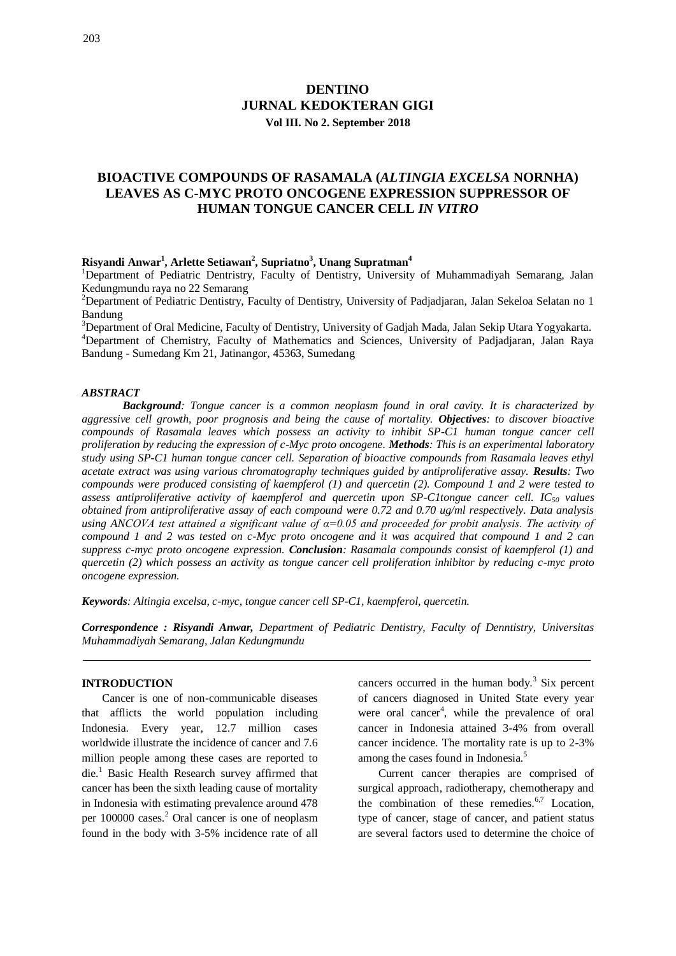# **DENTINO JURNAL KEDOKTERAN GIGI Vol III. No 2. September 2018**

# **BIOACTIVE COMPOUNDS OF RASAMALA (***ALTINGIA EXCELSA* **NORNHA) LEAVES AS C-MYC PROTO ONCOGENE EXPRESSION SUPPRESSOR OF HUMAN TONGUE CANCER CELL** *IN VITRO*

## **Risyandi Anwar<sup>1</sup> , Arlette Setiawan<sup>2</sup> , Supriatno<sup>3</sup> , Unang Supratman<sup>4</sup>**

<sup>1</sup>Department of Pediatric Dentristry, Faculty of Dentistry, University of Muhammadiyah Semarang, Jalan Kedungmundu raya no 22 Semarang

<sup>2</sup>Department of Pediatric Dentistry, Faculty of Dentistry, University of Padjadjaran, Jalan Sekeloa Selatan no 1 Bandung

<sup>3</sup>Department of Oral Medicine, Faculty of Dentistry, University of Gadjah Mada, Jalan Sekip Utara Yogyakarta. <sup>4</sup>Department of Chemistry, Faculty of Mathematics and Sciences, University of Padjadjaran, Jalan Raya Bandung - Sumedang Km 21, Jatinangor, 45363, Sumedang

### *ABSTRACT*

*Background: Tongue cancer is a common neoplasm found in oral cavity. It is characterized by aggressive cell growth, poor prognosis and being the cause of mortality. Objectives: to discover bioactive compounds of Rasamala leaves which possess an activity to inhibit SP-C1 human tongue cancer cell proliferation by reducing the expression of c-Myc proto oncogene. Methods: This is an experimental laboratory study using SP-C1 human tongue cancer cell. Separation of bioactive compounds from Rasamala leaves ethyl acetate extract was using various chromatography techniques guided by antiproliferative assay. Results: Two compounds were produced consisting of kaempferol (1) and quercetin (2). Compound 1 and 2 were tested to assess antiproliferative activity of kaempferol and quercetin upon SP-C1tongue cancer cell. IC<sup>50</sup> values obtained from antiproliferative assay of each compound were 0.72 and 0.70 ug/ml respectively. Data analysis using ANCOVA test attained a significant value of α=0.05 and proceeded for probit analysis. The activity of compound 1 and 2 was tested on c-Myc proto oncogene and it was acquired that compound 1 and 2 can suppress c-myc proto oncogene expression. Conclusion: Rasamala compounds consist of kaempferol (1) and quercetin (2) which possess an activity as tongue cancer cell proliferation inhibitor by reducing c-myc proto oncogene expression.*

*Keywords: Altingia excelsa, c-myc, tongue cancer cell SP-C1, kaempferol, quercetin.*

*Correspondence : Risyandi Anwar, Department of Pediatric Dentistry, Faculty of Denntistry, Universitas Muhammadiyah Semarang, Jalan Kedungmundu*

### **INTRODUCTION**

Cancer is one of non-communicable diseases that afflicts the world population including Indonesia. Every year, 12.7 million cases worldwide illustrate the incidence of cancer and 7.6 million people among these cases are reported to die.<sup>1</sup> Basic Health Research survey affirmed that cancer has been the sixth leading cause of mortality in Indonesia with estimating prevalence around 478 per 100000 cases.<sup>2</sup> Oral cancer is one of neoplasm found in the body with 3-5% incidence rate of all cancers occurred in the human body. $3$  Six percent of cancers diagnosed in United State every year were oral cancer<sup>4</sup>, while the prevalence of oral cancer in Indonesia attained 3-4% from overall cancer incidence. The mortality rate is up to 2-3% among the cases found in Indonesia.<sup>5</sup>

Current cancer therapies are comprised of surgical approach, radiotherapy, chemotherapy and the combination of these remedies. $6,7$  Location, type of cancer, stage of cancer, and patient status are several factors used to determine the choice of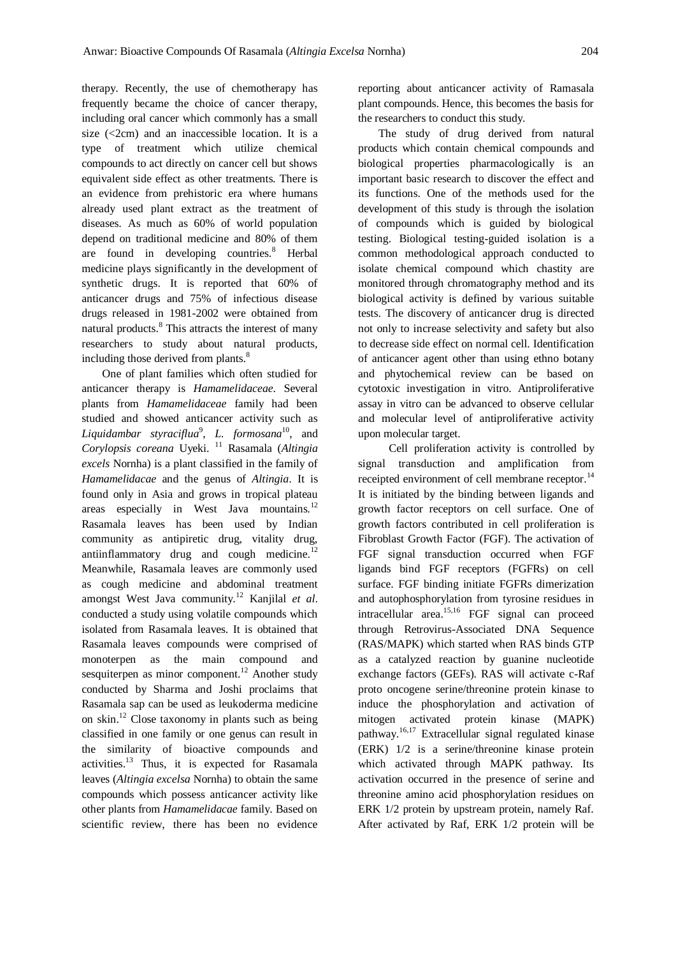therapy. Recently, the use of chemotherapy has frequently became the choice of cancer therapy, including oral cancer which commonly has a small size  $\langle$  <2cm) and an inaccessible location. It is a type of treatment which utilize chemical compounds to act directly on cancer cell but shows equivalent side effect as other treatments. There is an evidence from prehistoric era where humans already used plant extract as the treatment of diseases. As much as 60% of world population depend on traditional medicine and 80% of them are found in developing countries. $8$  Herbal medicine plays significantly in the development of synthetic drugs. It is reported that 60% of anticancer drugs and 75% of infectious disease drugs released in 1981-2002 were obtained from natural products.<sup>8</sup> This attracts the interest of many researchers to study about natural products, including those derived from plants.<sup>8</sup>

One of plant families which often studied for anticancer therapy is *Hamamelidaceae*. Several plants from *Hamamelidaceae* family had been studied and showed anticancer activity such as *Liquidambar styraciflua*<sup>9</sup> , *L. formosana*<sup>10</sup>, and *Corylopsis coreana* Uyeki. <sup>11</sup> Rasamala (*Altingia excels* Nornha) is a plant classified in the family of *Hamamelidacae* and the genus of *Altingia*. It is found only in Asia and grows in tropical plateau areas especially in West Java mountains.<sup>12</sup> Rasamala leaves has been used by Indian community as antipiretic drug, vitality drug, antiinflammatory drug and cough medicine.<sup>12</sup> Meanwhile, Rasamala leaves are commonly used as cough medicine and abdominal treatment amongst West Java community.<sup>12</sup> Kanjilal *et al*. conducted a study using volatile compounds which isolated from Rasamala leaves. It is obtained that Rasamala leaves compounds were comprised of monoterpen as the main compound and sesquiterpen as minor component.<sup>12</sup> Another study conducted by Sharma and Joshi proclaims that Rasamala sap can be used as leukoderma medicine on skin.<sup>12</sup> Close taxonomy in plants such as being classified in one family or one genus can result in the similarity of bioactive compounds and activities.<sup>13</sup> Thus, it is expected for Rasamala leaves (*Altingia excelsa* Nornha) to obtain the same compounds which possess anticancer activity like other plants from *Hamamelidacae* family. Based on scientific review, there has been no evidence

reporting about anticancer activity of Ramasala plant compounds. Hence, this becomes the basis for the researchers to conduct this study.

The study of drug derived from natural products which contain chemical compounds and biological properties pharmacologically is an important basic research to discover the effect and its functions. One of the methods used for the development of this study is through the isolation of compounds which is guided by biological testing. Biological testing-guided isolation is a common methodological approach conducted to isolate chemical compound which chastity are monitored through chromatography method and its biological activity is defined by various suitable tests. The discovery of anticancer drug is directed not only to increase selectivity and safety but also to decrease side effect on normal cell. Identification of anticancer agent other than using ethno botany and phytochemical review can be based on cytotoxic investigation in vitro. Antiproliferative assay in vitro can be advanced to observe cellular and molecular level of antiproliferative activity upon molecular target.

Cell proliferation activity is controlled by signal transduction and amplification from receipted environment of cell membrane receptor.<sup>14</sup> It is initiated by the binding between ligands and growth factor receptors on cell surface. One of growth factors contributed in cell proliferation is Fibroblast Growth Factor (FGF). The activation of FGF signal transduction occurred when FGF ligands bind FGF receptors (FGFRs) on cell surface. FGF binding initiate FGFRs dimerization and autophosphorylation from tyrosine residues in intracellular area.<sup>15,16</sup> FGF signal can proceed through Retrovirus-Associated DNA Sequence (RAS/MAPK) which started when RAS binds GTP as a catalyzed reaction by guanine nucleotide exchange factors (GEFs). RAS will activate c-Raf proto oncogene serine/threonine protein kinase to induce the phosphorylation and activation of mitogen activated protein kinase (MAPK) pathway.<sup>16,17</sup> Extracellular signal regulated kinase (ERK) 1/2 is a serine/threonine kinase protein which activated through MAPK pathway. Its activation occurred in the presence of serine and threonine amino acid phosphorylation residues on ERK 1/2 protein by upstream protein, namely Raf. After activated by Raf, ERK 1/2 protein will be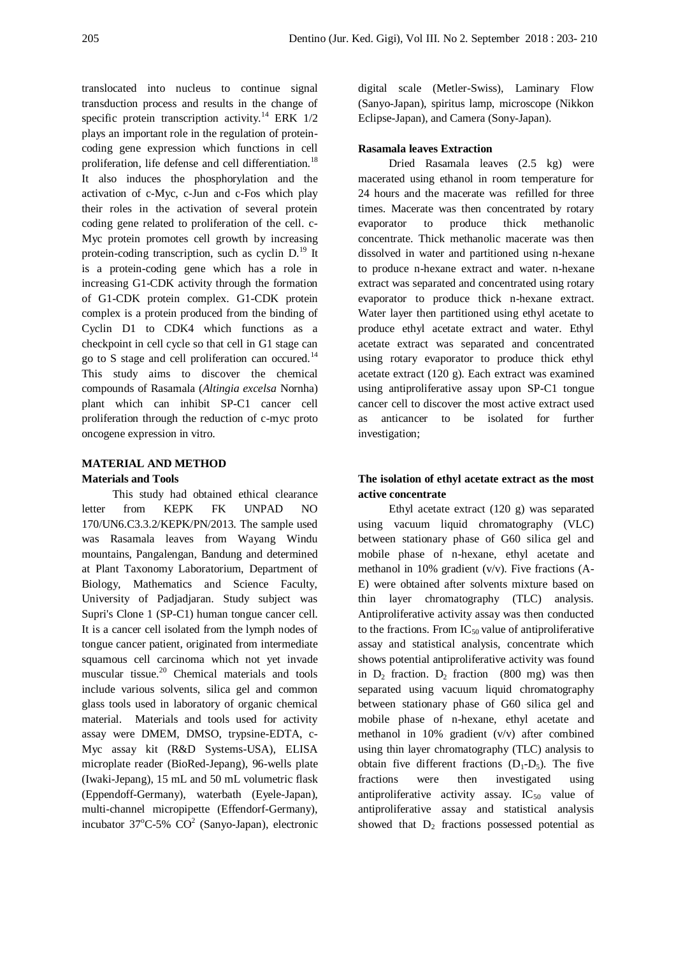translocated into nucleus to continue signal transduction process and results in the change of specific protein transcription activity.<sup>14</sup> ERK  $1/2$ plays an important role in the regulation of proteincoding gene expression which functions in cell proliferation, life defense and cell differentiation.<sup>18</sup> It also induces the phosphorylation and the activation of c-Myc, c-Jun and c-Fos which play their roles in the activation of several protein coding gene related to proliferation of the cell. c-Myc protein promotes cell growth by increasing protein-coding transcription, such as cyclin  $D<sup>19</sup>$  It is a protein-coding gene which has a role in increasing G1-CDK activity through the formation of G1-CDK protein complex. G1-CDK protein complex is a protein produced from the binding of Cyclin D1 to CDK4 which functions as a checkpoint in cell cycle so that cell in G1 stage can go to S stage and cell proliferation can occured.<sup>14</sup> This study aims to discover the chemical compounds of Rasamala (*Altingia excelsa* Nornha) plant which can inhibit SP-C1 cancer cell proliferation through the reduction of c-myc proto oncogene expression in vitro.

## **MATERIAL AND METHOD Materials and Tools**

This study had obtained ethical clearance letter from KEPK FK UNPAD NO 170/UN6.C3.3.2/KEPK/PN/2013. The sample used was Rasamala leaves from Wayang Windu mountains, Pangalengan, Bandung and determined at Plant Taxonomy Laboratorium, Department of Biology, Mathematics and Science Faculty, University of Padjadjaran. Study subject was Supri's Clone 1 (SP-C1) human tongue cancer cell. It is a cancer cell isolated from the lymph nodes of tongue cancer patient, originated from intermediate squamous cell carcinoma which not yet invade muscular tissue.<sup>20</sup> Chemical materials and tools include various solvents, silica gel and common glass tools used in laboratory of organic chemical material. Materials and tools used for activity assay were DMEM, DMSO, trypsine-EDTA, c-Myc assay kit (R&D Systems-USA), ELISA microplate reader (BioRed-Jepang), 96-wells plate (Iwaki-Jepang), 15 mL and 50 mL volumetric flask (Eppendoff-Germany), waterbath (Eyele-Japan), multi-channel micropipette (Effendorf-Germany), incubator 37 $\mathrm{^{\circ}C\text{-}5\%~CO^2}$  (Sanyo-Japan), electronic digital scale (Metler-Swiss), Laminary Flow (Sanyo-Japan), spiritus lamp, microscope (Nikkon Eclipse-Japan), and Camera (Sony-Japan).

### **Rasamala leaves Extraction**

Dried Rasamala leaves (2.5 kg) were macerated using ethanol in room temperature for 24 hours and the macerate was refilled for three times. Macerate was then concentrated by rotary evaporator to produce thick methanolic concentrate. Thick methanolic macerate was then dissolved in water and partitioned using n-hexane to produce n-hexane extract and water. n-hexane extract was separated and concentrated using rotary evaporator to produce thick n-hexane extract. Water layer then partitioned using ethyl acetate to produce ethyl acetate extract and water. Ethyl acetate extract was separated and concentrated using rotary evaporator to produce thick ethyl acetate extract (120 g). Each extract was examined using antiproliferative assay upon SP-C1 tongue cancer cell to discover the most active extract used as anticancer to be isolated for further investigation;

## **The isolation of ethyl acetate extract as the most active concentrate**

Ethyl acetate extract (120 g) was separated using vacuum liquid chromatography (VLC) between stationary phase of G60 silica gel and mobile phase of n-hexane, ethyl acetate and methanol in 10% gradient (v/v). Five fractions (A-E) were obtained after solvents mixture based on thin layer chromatography (TLC) analysis. Antiproliferative activity assay was then conducted to the fractions. From  $IC_{50}$  value of antiproliferative assay and statistical analysis, concentrate which shows potential antiproliferative activity was found in  $D_2$  fraction.  $D_2$  fraction (800 mg) was then separated using vacuum liquid chromatography between stationary phase of G60 silica gel and mobile phase of n-hexane, ethyl acetate and methanol in 10% gradient (v/v) after combined using thin layer chromatography (TLC) analysis to obtain five different fractions  $(D_1-D_5)$ . The five fractions were then investigated using antiproliferative activity assay.  $IC_{50}$  value of antiproliferative assay and statistical analysis showed that  $D_2$  fractions possessed potential as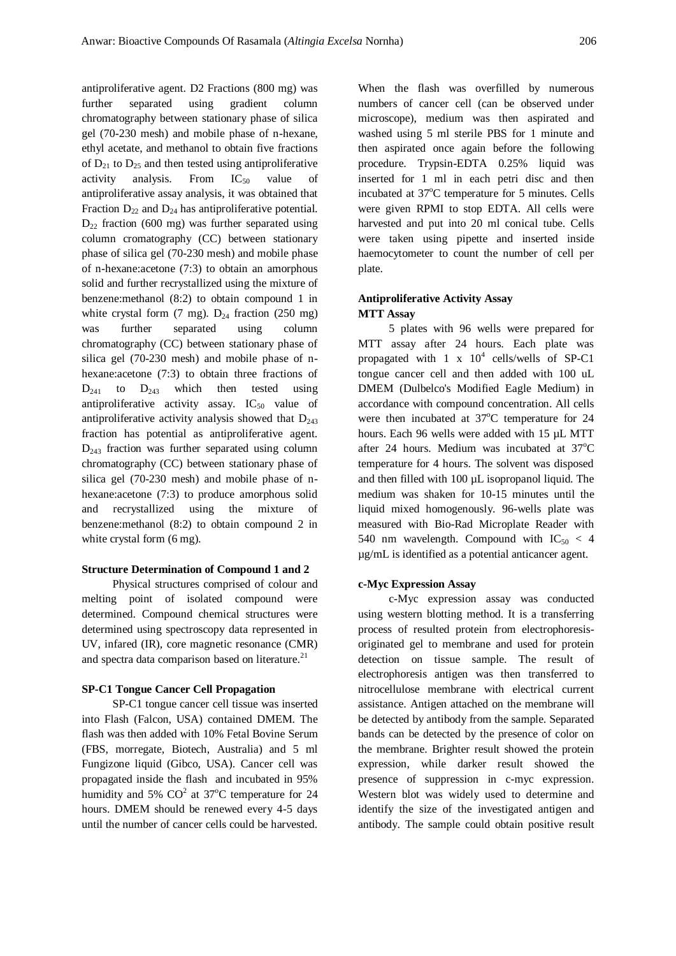antiproliferative agent. D2 Fractions (800 mg) was further separated using gradient column chromatography between stationary phase of silica gel (70-230 mesh) and mobile phase of n-hexane, ethyl acetate, and methanol to obtain five fractions of  $D_{21}$  to  $D_{25}$  and then tested using antiproliferative activity analysis. From  $IC_{50}$  value of antiproliferative assay analysis, it was obtained that Fraction  $D_{22}$  and  $D_{24}$  has antiproliferative potential.  $D_{22}$  fraction (600 mg) was further separated using column cromatography (CC) between stationary phase of silica gel (70-230 mesh) and mobile phase of n-hexane:acetone (7:3) to obtain an amorphous solid and further recrystallized using the mixture of benzene:methanol (8:2) to obtain compound 1 in white crystal form  $(7 \text{ mg})$ .  $D_{24}$  fraction  $(250 \text{ mg})$ was further separated using column chromatography (CC) between stationary phase of silica gel (70-230 mesh) and mobile phase of nhexane:acetone (7:3) to obtain three fractions of  $D_{241}$  to  $D_{243}$  which then tested using antiproliferative activity assay.  $IC_{50}$  value of antiproliferative activity analysis showed that  $D_{243}$ fraction has potential as antiproliferative agent.  $D_{243}$  fraction was further separated using column chromatography (CC) between stationary phase of silica gel (70-230 mesh) and mobile phase of nhexane:acetone (7:3) to produce amorphous solid and recrystallized using the mixture of benzene:methanol (8:2) to obtain compound 2 in white crystal form (6 mg).

### **Structure Determination of Compound 1 and 2**

Physical structures comprised of colour and melting point of isolated compound were determined. Compound chemical structures were determined using spectroscopy data represented in UV, infared (IR), core magnetic resonance (CMR) and spectra data comparison based on literature.<sup>21</sup>

### **SP-C1 Tongue Cancer Cell Propagation**

SP-C1 tongue cancer cell tissue was inserted into Flash (Falcon, USA) contained DMEM. The flash was then added with 10% Fetal Bovine Serum (FBS, morregate, Biotech, Australia) and 5 ml Fungizone liquid (Gibco, USA). Cancer cell was propagated inside the flash and incubated in 95% humidity and 5%  $CO<sup>2</sup>$  at 37°C temperature for 24 hours. DMEM should be renewed every 4-5 days until the number of cancer cells could be harvested.

When the flash was overfilled by numerous numbers of cancer cell (can be observed under microscope), medium was then aspirated and washed using 5 ml sterile PBS for 1 minute and then aspirated once again before the following procedure. Trypsin-EDTA 0.25% liquid was inserted for 1 ml in each petri disc and then incubated at 37°C temperature for 5 minutes. Cells were given RPMI to stop EDTA. All cells were harvested and put into 20 ml conical tube. Cells were taken using pipette and inserted inside haemocytometer to count the number of cell per plate.

## **Antiproliferative Activity Assay MTT Assay**

5 plates with 96 wells were prepared for MTT assay after 24 hours. Each plate was propagated with  $1 \times 10^4$  cells/wells of SP-C1 tongue cancer cell and then added with 100 uL DMEM (Dulbelco's Modified Eagle Medium) in accordance with compound concentration. All cells were then incubated at  $37^{\circ}$ C temperature for 24 hours. Each 96 wells were added with 15 µL MTT after 24 hours. Medium was incubated at  $37^{\circ}$ C temperature for 4 hours. The solvent was disposed and then filled with 100 µL isopropanol liquid. The medium was shaken for 10-15 minutes until the liquid mixed homogenously. 96-wells plate was measured with Bio-Rad Microplate Reader with 540 nm wavelength. Compound with  $IC_{50} < 4$ µg/mL is identified as a potential anticancer agent.

### **c-Myc Expression Assay**

c-Myc expression assay was conducted using western blotting method. It is a transferring process of resulted protein from electrophoresisoriginated gel to membrane and used for protein detection on tissue sample. The result of electrophoresis antigen was then transferred to nitrocellulose membrane with electrical current assistance. Antigen attached on the membrane will be detected by antibody from the sample. Separated bands can be detected by the presence of color on the membrane. Brighter result showed the protein expression, while darker result showed the presence of suppression in c-myc expression. Western blot was widely used to determine and identify the size of the investigated antigen and antibody. The sample could obtain positive result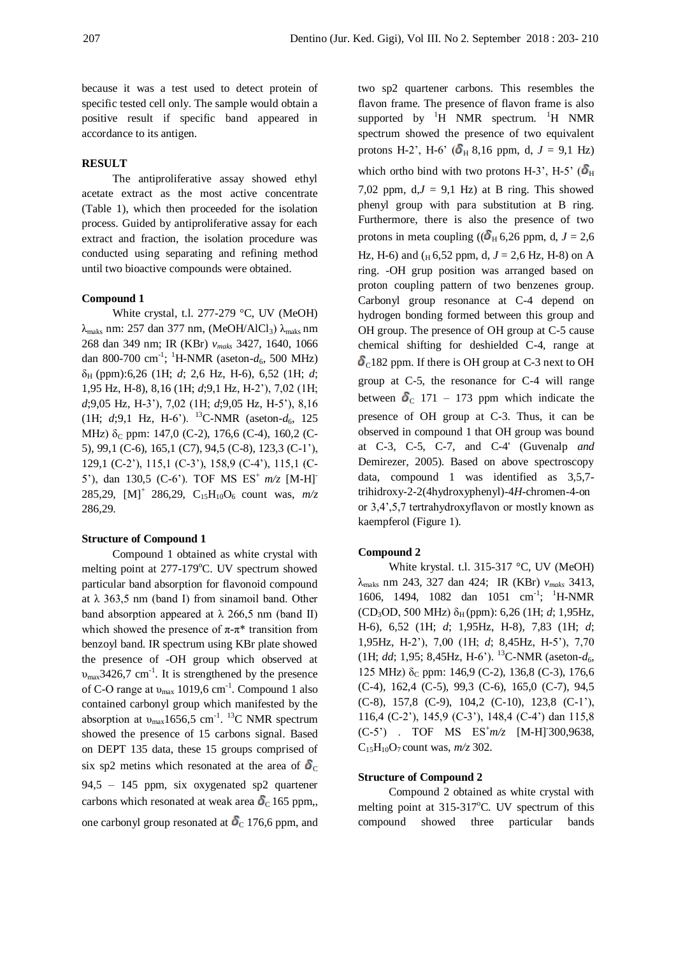because it was a test used to detect protein of specific tested cell only. The sample would obtain a positive result if specific band appeared in accordance to its antigen.

## **RESULT**

The antiproliferative assay showed ethyl acetate extract as the most active concentrate (Table 1), which then proceeded for the isolation process. Guided by antiproliferative assay for each extract and fraction, the isolation procedure was conducted using separating and refining method until two bioactive compounds were obtained.

#### **Compound 1**

White crystal, t.l. 277-279 °C, UV (MeOH)  $λ_{\text{maks}}$  nm: 257 dan 377 nm, (MeOH/AlCl<sub>3</sub>)  $λ_{\text{maks}}$  nm 268 dan 349 nm; IR (KBr) *vmaks* 3427, 1640, 1066 dan 800-700 cm<sup>-1</sup>; <sup>1</sup>H-NMR (aseton- $d_6$ , 500 MHz) δH (ppm):6,26 (1H; *d*; 2,6 Hz, H-6), 6,52 (1H; *d*; 1,95 Hz, H-8), 8,16 (1H; *d*;9,1 Hz, H-2"), 7,02 (1H; *d*;9,05 Hz, H-3"), 7,02 (1H; *d*;9,05 Hz, H-5"), 8,16 (1H;  $d$ ;9,1 Hz, H-6'). <sup>13</sup>C-NMR (aseton- $d_6$ , 125 MHz)  $\delta$ <sub>C</sub> ppm: 147,0 (C-2), 176,6 (C-4), 160,2 (C-5), 99,1 (C-6), 165,1 (C7), 94,5 (C-8), 123,3 (C-1"), 129,1 (C-2"), 115,1 (C-3"), 158,9 (C-4"), 115,1 (C-5"), dan 130,5 (C-6"). TOF MS ES<sup>+</sup>*m/z* [M-H]- 285,29,  $[M]^+$  286,29,  $C_{15}H_{10}O_6$  count was,  $m/z$ 286,29.

### **Structure of Compound 1**

Compound 1 obtained as white crystal with melting point at  $277-179^{\circ}$ C. UV spectrum showed particular band absorption for flavonoid compound at  $\lambda$  363,5 nm (band I) from sinamoil band. Other band absorption appeared at  $\lambda$  266,5 nm (band II) which showed the presence of  $\pi$ - $\pi$ <sup>\*</sup> transition from benzoyl band. IR spectrum using KBr plate showed the presence of -OH group which observed at  $v_{\text{max}}$ 3426,7 cm<sup>-1</sup>. It is strengthened by the presence of C-O range at  $v_{\text{max}}$  1019,6 cm<sup>-1</sup>. Compound 1 also contained carbonyl group which manifested by the absorption at  $v_{\text{max}}$ 1656,5 cm<sup>-1</sup>. <sup>13</sup>C NMR spectrum showed the presence of 15 carbons signal. Based on DEPT 135 data, these 15 groups comprised of six sp2 metins which resonated at the area of  $\delta_{\rm C}$ 94,5 – 145 ppm, six oxygenated sp2 quartener carbons which resonated at weak area  $\delta$ <sub>C</sub> 165 ppm, one carbonyl group resonated at  $\delta$ <sub>C</sub> 176,6 ppm, and

two sp2 quartener carbons. This resembles the flavon frame. The presence of flavon frame is also supported by  ${}^{1}H$  NMR spectrum.  ${}^{1}H$  NMR spectrum showed the presence of two equivalent protons H-2', H-6' ( $\delta_H$  8,16 ppm, d,  $J = 9.1$  Hz) which ortho bind with two protons H-3', H-5'  $(\delta_{\text{H}})$ 7,02 ppm,  $dJ = 9.1$  Hz) at B ring. This showed phenyl group with para substitution at B ring. Furthermore, there is also the presence of two protons in meta coupling ( $({\delta}_{H}$  6,26 ppm, d, *J* = 2,6 Hz, H-6) and ( $_H$  6,52 ppm, d,  $J = 2,6$  Hz, H-8) on A ring. -OH grup position was arranged based on proton coupling pattern of two benzenes group. Carbonyl group resonance at C-4 depend on hydrogen bonding formed between this group and OH group. The presence of OH group at C-5 cause chemical shifting for deshielded C-4, range at  $\delta$ <sub>C</sub>182 ppm. If there is OH group at C-3 next to OH group at C-5, the resonance for C-4 will range between  $\delta$ <sub>C</sub> 171 – 173 ppm which indicate the presence of OH group at C-3. Thus, it can be observed in compound 1 that OH group was bound at C-3, C-5, C-7, and C-4' (Guvenalp *and* Demirezer, 2005). Based on above spectroscopy data, compound 1 was identified as 3,5,7 trihidroxy-2-2(4hydroxyphenyl)-4*H*-chromen-4-on or 3,4",5,7 tertrahydroxyflavon or mostly known as kaempferol (Figure 1).

### **Compound 2**

White krystal. t.l. 315-317 °C, UV (MeOH) λmaks nm 243, 327 dan 424; IR (KBr) *vmaks* 3413, 1606, 1494, 1082 dan 1051 cm<sup>-1</sup>; <sup>1</sup>H-NMR  $(CD_3OD, 500 MHz) \delta_H (ppm)$ : 6,26 (1H; *d*; 1,95Hz, H-6), 6,52 (1H; *d*; 1,95Hz, H-8), 7,83 (1H; *d*; 1,95Hz, H-2"), 7,00 (1H; *d*; 8,45Hz, H-5"), 7,70 (1H; *dd*; 1,95; 8,45Hz, H-6'). <sup>13</sup>C-NMR (aseton- $d_6$ , 125 MHz) δ<sub>C</sub> ppm: 146,9 (C-2), 136,8 (C-3), 176,6 (C-4), 162,4 (C-5), 99,3 (C-6), 165,0 (C-7), 94,5 (C-8), 157,8 (C-9), 104,2 (C-10), 123,8 (C-1"), 116,4 (C-2"), 145,9 (C-3"), 148,4 (C-4") dan 115,8 (C-5") . TOF MS ES<sup>+</sup>*m/z* [M-H]- 300,9638,  $C_{15}H_{10}O_7$  count was,  $m/z$  302.

## **Structure of Compound 2**

Compound 2 obtained as white crystal with melting point at  $315-317^{\circ}$ C. UV spectrum of this compound showed three particular bands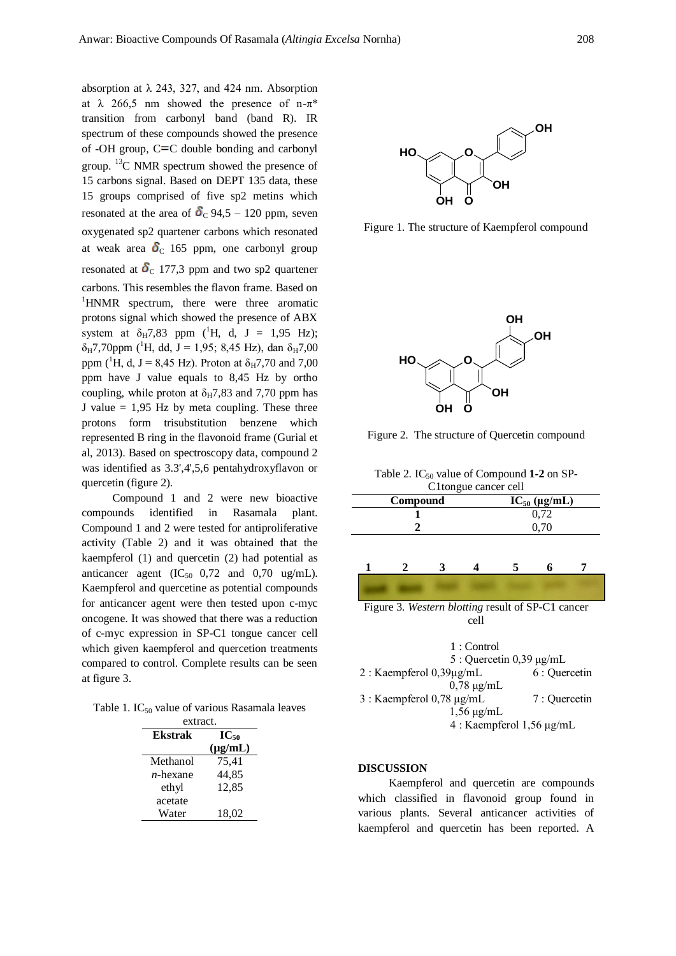absorption at  $\lambda$  243, 327, and 424 nm. Absorption at  $\lambda$  266,5 nm showed the presence of n- $\pi^*$ transition from carbonyl band (band R). IR spectrum of these compounds showed the presence of -OH group,  $C = C$  double bonding and carbonyl group. <sup>13</sup>C NMR spectrum showed the presence of 15 carbons signal. Based on DEPT 135 data, these 15 groups comprised of five sp2 metins which resonated at the area of  $\delta$ <sub>C</sub> 94,5 – 120 ppm, seven oxygenated sp2 quartener carbons which resonated at weak area  $\delta$ <sub>C</sub> 165 ppm, one carbonyl group resonated at  $\delta$ <sub>C</sub> 177,3 ppm and two sp2 quartener carbons. This resembles the flavon frame. Based on <sup>1</sup>HNMR spectrum, there were three aromatic protons signal which showed the presence of ABX system at  $\delta_H$ 7,83 ppm (<sup>1</sup>H, d, J = 1,95 Hz);  $\delta_{\rm H}$ 7,70ppm (<sup>1</sup>H, dd, J = 1,95; 8,45 Hz), dan  $\delta_{\rm H}$ 7,00 ppm (<sup>1</sup>H, d, J = 8,45 Hz). Proton at  $\delta_{\rm H}$ 7,70 and 7,00 ppm have J value equals to 8,45 Hz by ortho coupling, while proton at  $\delta_H$ 7,83 and 7,70 ppm has J value  $= 1.95$  Hz by meta coupling. These three protons form trisubstitution benzene which represented B ring in the flavonoid frame (Gurial et al, 2013). Based on spectroscopy data, compound 2 was identified as 3.3',4',5,6 pentahydroxyflavon or quercetin (figure 2).

Compound 1 and 2 were new bioactive compounds identified in Rasamala plant. Compound 1 and 2 were tested for antiproliferative activity (Table 2) and it was obtained that the kaempferol (1) and quercetin (2) had potential as anticancer agent  $(IC_{50}$  0,72 and 0,70 ug/mL). Kaempferol and quercetine as potential compounds for anticancer agent were then tested upon c-myc oncogene. It was showed that there was a reduction of c-myc expression in SP-C1 tongue cancer cell which given kaempferol and quercetion treatments compared to control. Complete results can be seen at figure 3.

Table 1.  $IC_{50}$  value of various Rasamala leaves

| extract.       |              |  |  |  |
|----------------|--------------|--|--|--|
| <b>Ekstrak</b> | $IC_{50}$    |  |  |  |
|                | $(\mu g/mL)$ |  |  |  |
| Methanol       | 75,41        |  |  |  |
| $n$ -hexane    | 44,85        |  |  |  |
| ethyl          | 12,85        |  |  |  |
| acetate        |              |  |  |  |
| Water          | 18,02        |  |  |  |



Figure 1. The structure of Kaempferol compound



Figure 2. The structure of Quercetin compound

Table 2. IC<sub>50</sub> value of Compound 1-2 on SP-

| C1tongue cancer cell                              |   |   |               |                   |               |  |  |
|---------------------------------------------------|---|---|---------------|-------------------|---------------|--|--|
| Compound                                          |   |   |               | $IC_{50}$ (µg/mL) |               |  |  |
|                                                   |   |   |               | 0.72              |               |  |  |
| 2                                                 |   |   |               | 0,70              |               |  |  |
|                                                   |   |   |               |                   |               |  |  |
|                                                   |   |   |               |                   |               |  |  |
| 1                                                 | 2 | 3 | 4             | 5                 | 6             |  |  |
|                                                   |   |   |               |                   |               |  |  |
| Figure 3. Western blotting result of SP-C1 cancer |   |   |               |                   |               |  |  |
| cell                                              |   |   |               |                   |               |  |  |
|                                                   |   |   |               |                   |               |  |  |
| 1:Control                                         |   |   |               |                   |               |  |  |
| 5 : Quercetin $0,39 \mu g/mL$                     |   |   |               |                   |               |  |  |
| 2 : Kaempferol $0,39\mu g/mL$                     |   |   | 6 : Quercetin |                   |               |  |  |
| $0,78 \mu g/mL$                                   |   |   |               |                   |               |  |  |
| $3:$ Kaempferol 0,78 µg/mL                        |   |   |               |                   | 7 : Quercetin |  |  |
| $1,56 \mu g/mL$                                   |   |   |               |                   |               |  |  |
| 4 : Kaempferol $1,56 \mu g/mL$                    |   |   |               |                   |               |  |  |

#### **DISCUSSION**

Kaempferol and quercetin are compounds which classified in flavonoid group found in various plants. Several anticancer activities of kaempferol and quercetin has been reported. A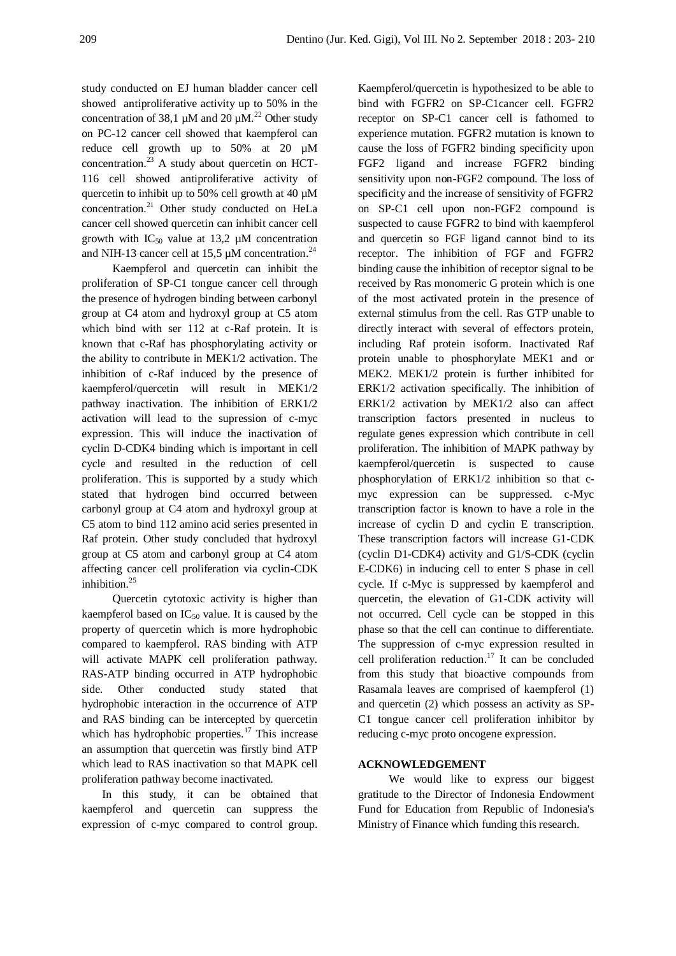study conducted on EJ human bladder cancer cell showed antiproliferative activity up to 50% in the concentration of 38,1  $\mu$ M and 20  $\mu$ M.<sup>22</sup> Other study on PC-12 cancer cell showed that kaempferol can reduce cell growth up to 50% at 20 µM concentration. $^{23}$  A study about quercetin on HCT-116 cell showed antiproliferative activity of quercetin to inhibit up to 50% cell growth at 40 µM concentration.<sup>21</sup> Other study conducted on HeLa cancer cell showed quercetin can inhibit cancer cell growth with  $IC_{50}$  value at 13,2  $\mu$ M concentration and NIH-13 cancer cell at 15,5  $\mu$ M concentration.<sup>24</sup>

Kaempferol and quercetin can inhibit the proliferation of SP-C1 tongue cancer cell through the presence of hydrogen binding between carbonyl group at C4 atom and hydroxyl group at C5 atom which bind with ser 112 at c-Raf protein. It is known that c-Raf has phosphorylating activity or the ability to contribute in MEK1/2 activation. The inhibition of c-Raf induced by the presence of kaempferol/quercetin will result in MEK1/2 pathway inactivation. The inhibition of ERK1/2 activation will lead to the supression of c-myc expression. This will induce the inactivation of cyclin D-CDK4 binding which is important in cell cycle and resulted in the reduction of cell proliferation. This is supported by a study which stated that hydrogen bind occurred between carbonyl group at C4 atom and hydroxyl group at C5 atom to bind 112 amino acid series presented in Raf protein. Other study concluded that hydroxyl group at C5 atom and carbonyl group at C4 atom affecting cancer cell proliferation via cyclin-CDK inhibition.<sup>25</sup>

Quercetin cytotoxic activity is higher than kaempferol based on  $IC_{50}$  value. It is caused by the property of quercetin which is more hydrophobic compared to kaempferol. RAS binding with ATP will activate MAPK cell proliferation pathway. RAS-ATP binding occurred in ATP hydrophobic side. Other conducted study stated that hydrophobic interaction in the occurrence of ATP and RAS binding can be intercepted by quercetin which has hydrophobic properties. $17$  This increase an assumption that quercetin was firstly bind ATP which lead to RAS inactivation so that MAPK cell proliferation pathway become inactivated.

In this study, it can be obtained that kaempferol and quercetin can suppress the expression of c-myc compared to control group.

Kaempferol/quercetin is hypothesized to be able to bind with FGFR2 on SP-C1cancer cell. FGFR2 receptor on SP-C1 cancer cell is fathomed to experience mutation. FGFR2 mutation is known to cause the loss of FGFR2 binding specificity upon FGF2 ligand and increase FGFR2 binding sensitivity upon non-FGF2 compound. The loss of specificity and the increase of sensitivity of FGFR2 on SP-C1 cell upon non-FGF2 compound is suspected to cause FGFR2 to bind with kaempferol and quercetin so FGF ligand cannot bind to its receptor. The inhibition of FGF and FGFR2 binding cause the inhibition of receptor signal to be received by Ras monomeric G protein which is one of the most activated protein in the presence of external stimulus from the cell. Ras GTP unable to directly interact with several of effectors protein, including Raf protein isoform. Inactivated Raf protein unable to phosphorylate MEK1 and or MEK2. MEK1/2 protein is further inhibited for ERK1/2 activation specifically. The inhibition of ERK1/2 activation by MEK1/2 also can affect transcription factors presented in nucleus to regulate genes expression which contribute in cell proliferation. The inhibition of MAPK pathway by kaempferol/quercetin is suspected to cause phosphorylation of ERK1/2 inhibition so that cmyc expression can be suppressed. c-Myc transcription factor is known to have a role in the increase of cyclin D and cyclin E transcription. These transcription factors will increase G1-CDK (cyclin D1-CDK4) activity and G1/S-CDK (cyclin E-CDK6) in inducing cell to enter S phase in cell cycle. If c-Myc is suppressed by kaempferol and quercetin, the elevation of G1-CDK activity will not occurred. Cell cycle can be stopped in this phase so that the cell can continue to differentiate. The suppression of c-myc expression resulted in cell proliferation reduction.<sup>17</sup> It can be concluded from this study that bioactive compounds from Rasamala leaves are comprised of kaempferol (1) and quercetin (2) which possess an activity as SP-C1 tongue cancer cell proliferation inhibitor by reducing c-myc proto oncogene expression.

## **ACKNOWLEDGEMENT**

We would like to express our biggest gratitude to the Director of Indonesia Endowment Fund for Education from Republic of Indonesia's Ministry of Finance which funding this research.